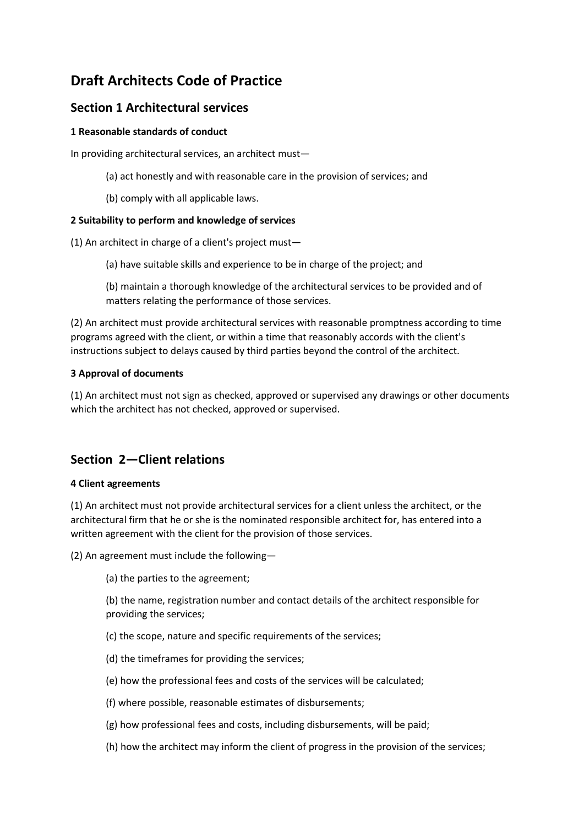# **Draft Architects Code of Practice**

### **Section 1 Architectural services**

### **1 Reasonable standards of conduct**

In providing architectural services, an architect must—

- (a) act honestly and with reasonable care in the provision of services; and
- (b) comply with all applicable laws.

### **2 Suitability to perform and knowledge of services**

(1) An architect in charge of a client's project must—

(a) have suitable skills and experience to be in charge of the project; and

(b) maintain a thorough knowledge of the architectural services to be provided and of matters relating the performance of those services.

(2) An architect must provide architectural services with reasonable promptness according to time programs agreed with the client, or within a time that reasonably accords with the client's instructions subject to delays caused by third parties beyond the control of the architect.

#### **3 Approval of documents**

(1) An architect must not sign as checked, approved or supervised any drawings or other documents which the architect has not checked, approved or supervised.

## **Section 2—Client relations**

#### **4 Client agreements**

(1) An architect must not provide architectural services for a client unless the architect, or the architectural firm that he or she is the nominated responsible architect for, has entered into a written agreement with the client for the provision of those services.

(2) An agreement must include the following—

(a) the parties to the agreement;

(b) the name, registration number and contact details of the architect responsible for providing the services;

(c) the scope, nature and specific requirements of the services;

- (d) the timeframes for providing the services;
- (e) how the professional fees and costs of the services will be calculated;
- (f) where possible, reasonable estimates of disbursements;
- (g) how professional fees and costs, including disbursements, will be paid;
- (h) how the architect may inform the client of progress in the provision of the services;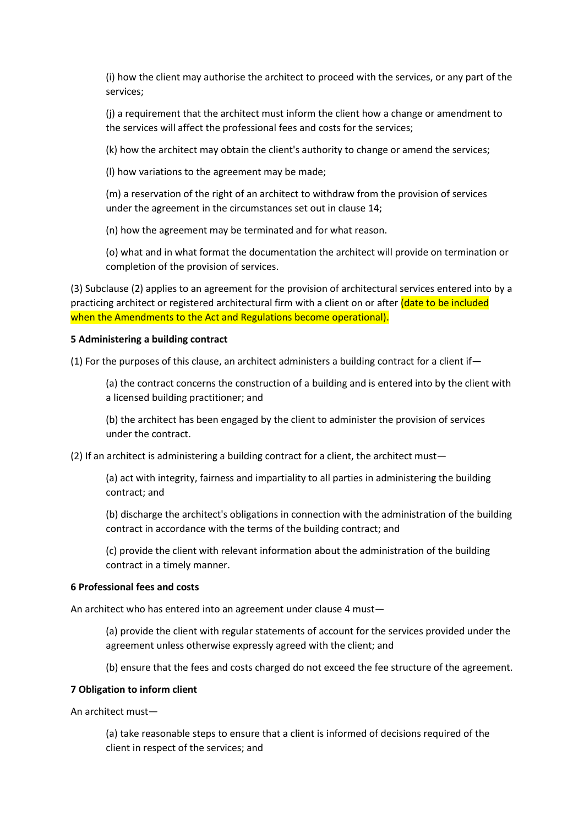(i) how the client may authorise the architect to proceed with the services, or any part of the services;

(j) a requirement that the architect must inform the client how a change or amendment to the services will affect the professional fees and costs for the services;

(k) how the architect may obtain the client's authority to change or amend the services;

(l) how variations to the agreement may be made;

(m) a reservation of the right of an architect to withdraw from the provision of services under the agreement in the circumstances set out in clause 14;

(n) how the agreement may be terminated and for what reason.

(o) what and in what format the documentation the architect will provide on termination or completion of the provision of services.

(3) Subclause (2) applies to an agreement for the provision of architectural services entered into by a practicing architect or registered architectural firm with a client on or after (date to be included when the Amendments to the Act and Regulations become operational).

#### **5 Administering a building contract**

(1) For the purposes of this clause, an architect administers a building contract for a client if—

(a) the contract concerns the construction of a building and is entered into by the client with a licensed building practitioner; and

(b) the architect has been engaged by the client to administer the provision of services under the contract.

(2) If an architect is administering a building contract for a client, the architect must—

(a) act with integrity, fairness and impartiality to all parties in administering the building contract; and

(b) discharge the architect's obligations in connection with the administration of the building contract in accordance with the terms of the building contract; and

(c) provide the client with relevant information about the administration of the building contract in a timely manner.

#### **6 Professional fees and costs**

An architect who has entered into an agreement under clause 4 must—

(a) provide the client with regular statements of account for the services provided under the agreement unless otherwise expressly agreed with the client; and

(b) ensure that the fees and costs charged do not exceed the fee structure of the agreement.

#### **7 Obligation to inform client**

An architect must—

(a) take reasonable steps to ensure that a client is informed of decisions required of the client in respect of the services; and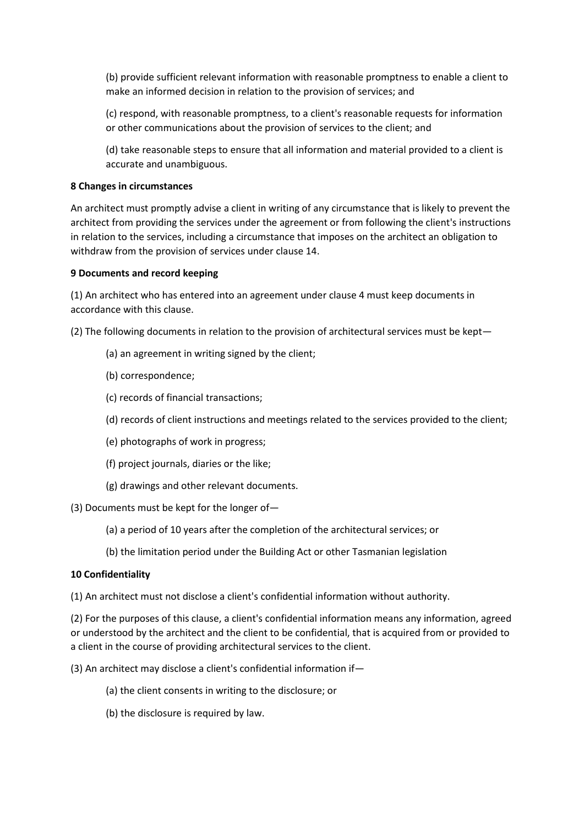(b) provide sufficient relevant information with reasonable promptness to enable a client to make an informed decision in relation to the provision of services; and

(c) respond, with reasonable promptness, to a client's reasonable requests for information or other communications about the provision of services to the client; and

(d) take reasonable steps to ensure that all information and material provided to a client is accurate and unambiguous.

#### **8 Changes in circumstances**

An architect must promptly advise a client in writing of any circumstance that is likely to prevent the architect from providing the services under the agreement or from following the client's instructions in relation to the services, including a circumstance that imposes on the architect an obligation to withdraw from the provision of services under clause 14.

#### **9 Documents and record keeping**

(1) An architect who has entered into an agreement under clause 4 must keep documents in accordance with this clause.

(2) The following documents in relation to the provision of architectural services must be kept—

- (a) an agreement in writing signed by the client;
- (b) correspondence;
- (c) records of financial transactions;
- (d) records of client instructions and meetings related to the services provided to the client;
- (e) photographs of work in progress;
- (f) project journals, diaries or the like;
- (g) drawings and other relevant documents.

(3) Documents must be kept for the longer of—

- (a) a period of 10 years after the completion of the architectural services; or
- (b) the limitation period under the Building Act or other Tasmanian legislation

#### **10 Confidentiality**

(1) An architect must not disclose a client's confidential information without authority.

(2) For the purposes of this clause, a client's confidential information means any information, agreed or understood by the architect and the client to be confidential, that is acquired from or provided to a client in the course of providing architectural services to the client.

(3) An architect may disclose a client's confidential information if—

- (a) the client consents in writing to the disclosure; or
- (b) the disclosure is required by law.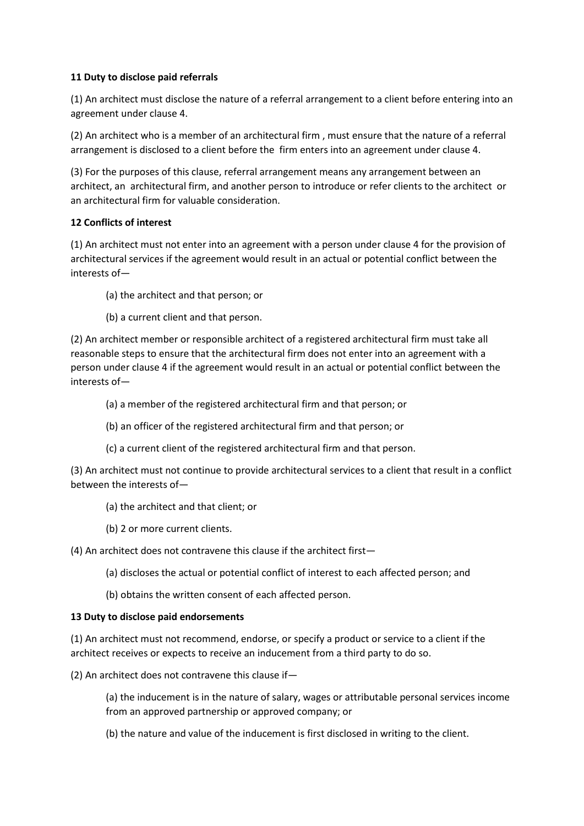#### **11 Duty to disclose paid referrals**

(1) An architect must disclose the nature of a referral arrangement to a client before entering into an agreement under clause 4.

(2) An architect who is a member of an architectural firm , must ensure that the nature of a referral arrangement is disclosed to a client before the firm enters into an agreement under clause 4.

(3) For the purposes of this clause, referral arrangement means any arrangement between an architect, an architectural firm, and another person to introduce or refer clients to the architect or an architectural firm for valuable consideration.

#### **12 Conflicts of interest**

(1) An architect must not enter into an agreement with a person under clause 4 for the provision of architectural services if the agreement would result in an actual or potential conflict between the interests of—

- (a) the architect and that person; or
- (b) a current client and that person.

(2) An architect member or responsible architect of a registered architectural firm must take all reasonable steps to ensure that the architectural firm does not enter into an agreement with a person under clause 4 if the agreement would result in an actual or potential conflict between the interests of—

- (a) a member of the registered architectural firm and that person; or
- (b) an officer of the registered architectural firm and that person; or
- (c) a current client of the registered architectural firm and that person.

(3) An architect must not continue to provide architectural services to a client that result in a conflict between the interests of—

- (a) the architect and that client; or
- (b) 2 or more current clients.

(4) An architect does not contravene this clause if the architect first—

- (a) discloses the actual or potential conflict of interest to each affected person; and
- (b) obtains the written consent of each affected person.

#### **13 Duty to disclose paid endorsements**

(1) An architect must not recommend, endorse, or specify a product or service to a client if the architect receives or expects to receive an inducement from a third party to do so.

(2) An architect does not contravene this clause if—

(a) the inducement is in the nature of salary, wages or attributable personal services income from an approved partnership or approved company; or

(b) the nature and value of the inducement is first disclosed in writing to the client.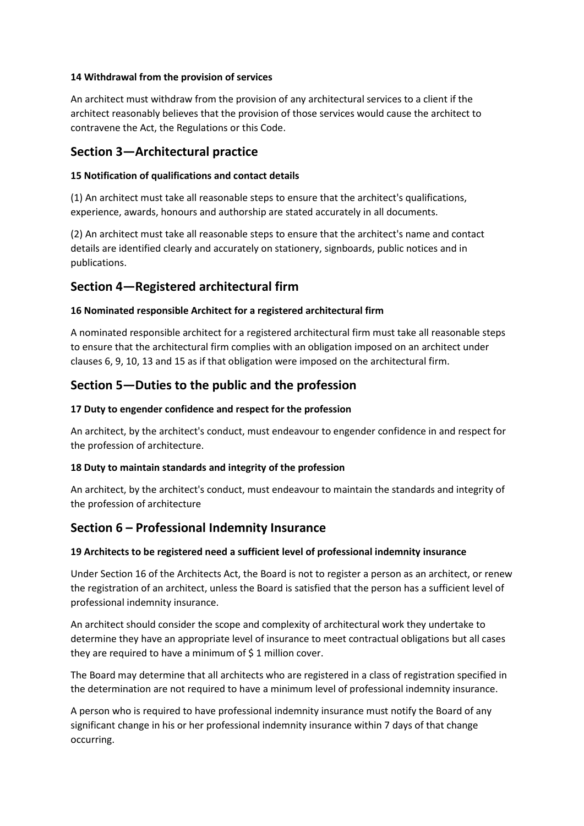#### **14 Withdrawal from the provision of services**

An architect must withdraw from the provision of any architectural services to a client if the architect reasonably believes that the provision of those services would cause the architect to contravene the Act, the Regulations or this Code.

### **Section 3—Architectural practice**

#### **15 Notification of qualifications and contact details**

(1) An architect must take all reasonable steps to ensure that the architect's qualifications, experience, awards, honours and authorship are stated accurately in all documents.

(2) An architect must take all reasonable steps to ensure that the architect's name and contact details are identified clearly and accurately on stationery, signboards, public notices and in publications.

### **Section 4—Registered architectural firm**

#### **16 Nominated responsible Architect for a registered architectural firm**

A nominated responsible architect for a registered architectural firm must take all reasonable steps to ensure that the architectural firm complies with an obligation imposed on an architect under clauses 6, 9, 10, 13 and 15 as if that obligation were imposed on the architectural firm.

### **Section 5—Duties to the public and the profession**

#### **17 Duty to engender confidence and respect for the profession**

An architect, by the architect's conduct, must endeavour to engender confidence in and respect for the profession of architecture.

### **18 Duty to maintain standards and integrity of the profession**

An architect, by the architect's conduct, must endeavour to maintain the standards and integrity of the profession of architecture

### **Section 6 – Professional Indemnity Insurance**

#### **19 Architects to be registered need a sufficient level of professional indemnity insurance**

Under Section 16 of the Architects Act, the Board is not to register a person as an architect, or renew the registration of an architect, unless the Board is satisfied that the person has a sufficient level of professional indemnity insurance.

An architect should consider the scope and complexity of architectural work they undertake to determine they have an appropriate level of insurance to meet contractual obligations but all cases they are required to have a minimum of \$ 1 million cover.

The Board may determine that all architects who are registered in a class of registration specified in the determination are not required to have a minimum level of professional indemnity insurance.

A person who is required to have professional indemnity insurance must notify the Board of any significant change in his or her professional indemnity insurance within 7 days of that change occurring.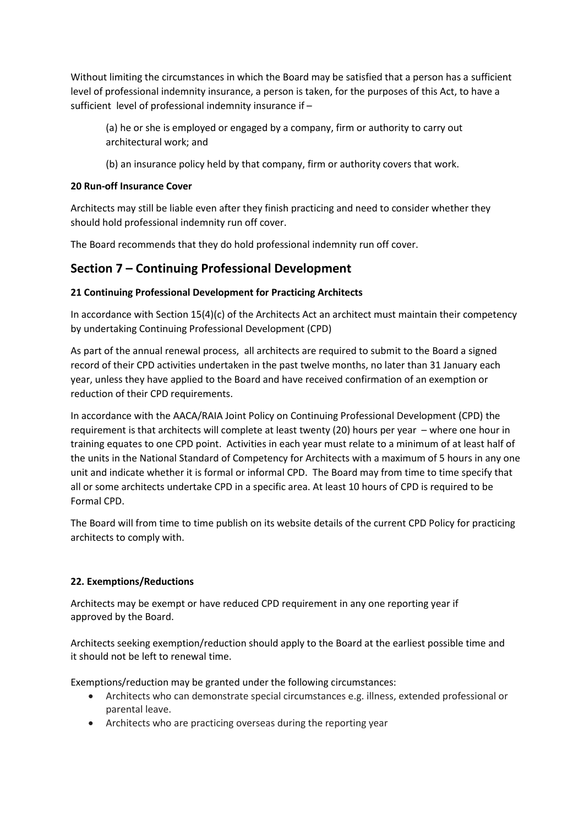Without limiting the circumstances in which the Board may be satisfied that a person has a sufficient level of professional indemnity insurance, a person is taken, for the purposes of this Act, to have a sufficient level of professional indemnity insurance if –

(a) he or she is employed or engaged by a company, firm or authority to carry out architectural work; and

(b) an insurance policy held by that company, firm or authority covers that work.

### **20 Run-off Insurance Cover**

Architects may still be liable even after they finish practicing and need to consider whether they should hold professional indemnity run off cover.

The Board recommends that they do hold professional indemnity run off cover.

## **Section 7 – Continuing Professional Development**

### **21 Continuing Professional Development for Practicing Architects**

In accordance with Section 15(4)(c) of the Architects Act an architect must maintain their competency by undertaking Continuing Professional Development (CPD)

As part of the annual renewal process, all architects are required to submit to the Board a signed record of their CPD activities undertaken in the past twelve months, no later than 31 January each year, unless they have applied to the Board and have received confirmation of an exemption or reduction of their CPD requirements.

In accordance with th[e AACA/RAIA Joint Policy on Continuing Professional](http://www.aaca.org.au/wp-content/uploads/2010/09/JPCPD2006.pdf) Development (CPD) the requirement is that architects will complete at least twenty (20) hours per year – where one hour in training equates to one CPD point. Activities in each year must relate to a minimum of at least half of the units in the National Standard of Competency for Architects with a maximum of 5 hours in any one unit and indicate whether it is formal or informal CPD. The Board may from time to time specify that all or some architects undertake CPD in a specific area. At least 10 hours of CPD is required to be Formal CPD.

The Board will from time to time publish on its website details of the current CPD Policy for practicing architects to comply with.

### **22. Exemptions/Reductions**

Architects may be exempt or have reduced CPD requirement in any one reporting year if approved by the Board.

Architects seeking exemption/reduction should apply to the Board at the earliest possible time and it should not be left to renewal time.

Exemptions/reduction may be granted under the following circumstances:

- Architects who can demonstrate special circumstances e.g. illness, extended professional or parental leave.
- Architects who are practicing overseas during the reporting year